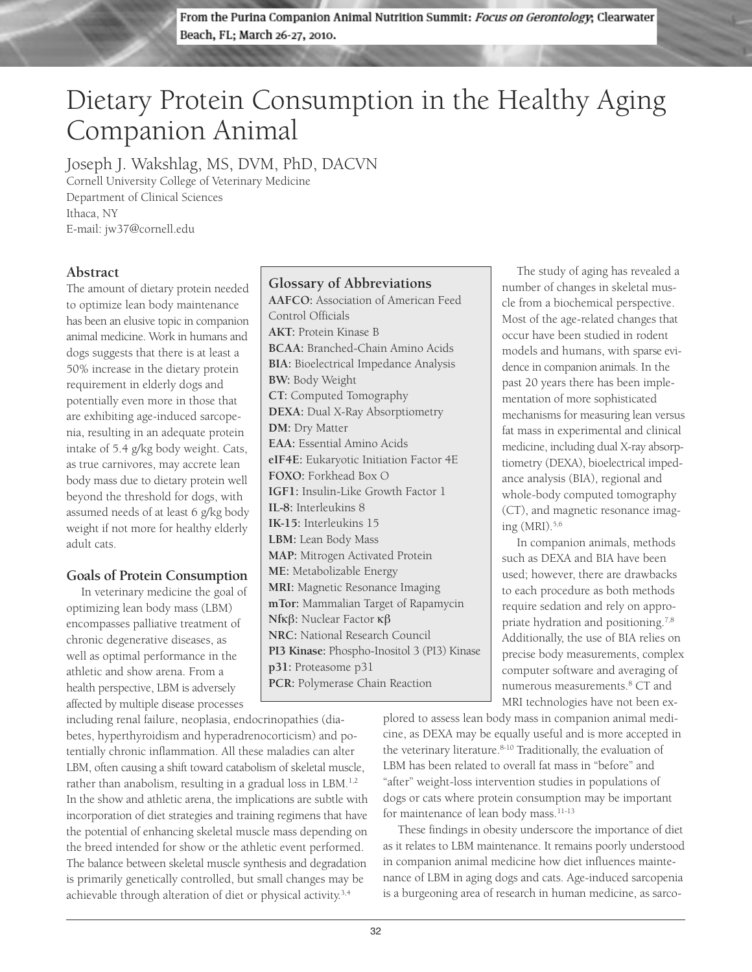From the Purina Companion Animal Nutrition Summit: Focus on Gerontology, Clearwater Beach, FL; March 26-27, 2010.

# Dietary Protein Consumption in the Healthy Aging Companion Animal

Joseph J. Wakshlag, MS, DVM, PhD, DACVN

Cornell University College of Veterinary Medicine Department of Clinical Sciences Ithaca, NY E-mail: jw37@cornell.edu

### **Abstract**

The amount of dietary protein needed to optimize lean body maintenance has been an elusive topic in companion animal medicine. Work in humans and dogs suggests that there is at least a 50% increase in the dietary protein requirement in elderly dogs and potentially even more in those that are exhibiting age-induced sarcopenia, resulting in an adequate protein intake of 5.4 g/kg body weight. Cats, as true carnivores, may accrete lean body mass due to dietary protein well beyond the threshold for dogs, with assumed needs of at least 6 g/kg body weight if not more for healthy elderly adult cats.

### **Goals of Protein Consumption**

In veterinary medicine the goal of optimizing lean body mass (LBM) encompasses palliative treatment of chronic degenerative diseases, as well as optimal performance in the athletic and show arena. From a health perspective, LBM is adversely affected by multiple disease processes

including renal failure, neoplasia, endocrinopathies (diabetes, hyperthyroidism and hyperadrenocorticism) and potentially chronic inflammation. All these maladies can alter LBM, often causing a shift toward catabolism of skeletal muscle, rather than anabolism, resulting in a gradual loss in LBM.<sup>1,2</sup> In the show and athletic arena, the implications are subtle with incorporation of diet strategies and training regimens that have the potential of enhancing skeletal muscle mass depending on the breed intended for show or the athletic event performed. The balance between skeletal muscle synthesis and degradation is primarily genetically controlled, but small changes may be achievable through alteration of diet or physical activity.<sup>3,4</sup>

## **Glossary of Abbreviations**

**AAFCO:** Association of American Feed Control Officials **AKT:** Protein Kinase B **BCAA:** Branched-Chain Amino Acids **BIA:** Bioelectrical Impedance Analysis **BW:** Body Weight **CT:** Computed Tomography **DEXA:** Dual X-Ray Absorptiometry **DM:** Dry Matter **EAA:** Essential Amino Acids **eIF4E:** Eukaryotic Initiation Factor 4E **FOXO:** Forkhead Box O **IGF1:** Insulin-Like Growth Factor 1 **IL-8:** Interleukins 8 **IK-15:** Interleukins 15 **LBM:** Lean Body Mass **MAP:** Mitrogen Activated Protein **ME:** Metabolizable Energy **MRI:** Magnetic Resonance Imaging **mTor:** Mammalian Target of Rapamycin **Nf**kβ**:** Nuclear Factor kβ **NRC:** National Research Council **PI3 Kinase:** Phospho-Inositol 3 (PI3) Kinase **p31:** Proteasome p31 **PCR:** Polymerase Chain Reaction

The study of aging has revealed a number of changes in skeletal muscle from a biochemical perspective. Most of the age-related changes that occur have been studied in rodent models and humans, with sparse evidence in companion animals. In the past 20 years there has been implementation of more sophisticated mechanisms for measuring lean versus fat mass in experimental and clinical medicine, including dual X-ray absorptiometry (DEXA), bioelectrical impedance analysis (BIA), regional and whole-body computed tomography (CT), and magnetic resonance imaging (MRI).5,6

In companion animals, methods such as DEXA and BIA have been used; however, there are drawbacks to each procedure as both methods require sedation and rely on appropriate hydration and positioning.7,8 Additionally, the use of BIA relies on precise body measurements, complex computer software and averaging of numerous measurements.8 CT and MRI technologies have not been ex-

plored to assess lean body mass in companion animal medicine, as DEXA may be equally useful and is more accepted in the veterinary literature.<sup>8-10</sup> Traditionally, the evaluation of LBM has been related to overall fat mass in "before" and "after" weight-loss intervention studies in populations of dogs or cats where protein consumption may be important for maintenance of lean body mass.<sup>11-13</sup>

These findings in obesity underscore the importance of diet as it relates to LBM maintenance. It remains poorly understood in companion animal medicine how diet influences maintenance of LBM in aging dogs and cats. Age-induced sarcopenia is a burgeoning area of research in human medicine, as sarco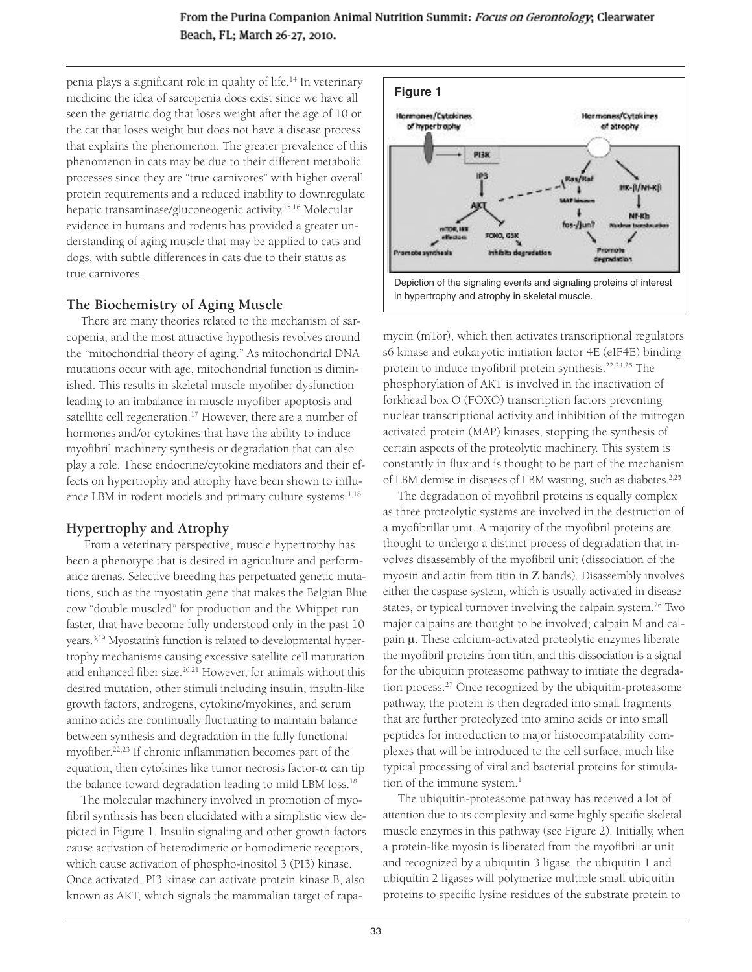penia plays a significant role in quality of life.<sup>14</sup> In veterinary medicine the idea of sarcopenia does exist since we have all seen the geriatric dog that loses weight after the age of 10 or the cat that loses weight but does not have a disease process that explains the phenomenon. The greater prevalence of this phenomenon in cats may be due to their different metabolic processes since they are "true carnivores" with higher overall protein requirements and a reduced inability to downregulate hepatic transaminase/gluconeogenic activity.15,16 Molecular evidence in humans and rodents has provided a greater understanding of aging muscle that may be applied to cats and dogs, with subtle differences in cats due to their status as true carnivores.

#### **The Biochemistry of Aging Muscle**

There are many theories related to the mechanism of sarcopenia, and the most attractive hypothesis revolves around the "mitochondrial theory of aging." As mitochondrial DNA mutations occur with age, mitochondrial function is diminished. This results in skeletal muscle myofiber dysfunction leading to an imbalance in muscle myofiber apoptosis and satellite cell regeneration.<sup>17</sup> However, there are a number of hormones and/or cytokines that have the ability to induce myofibril machinery synthesis or degradation that can also play a role. These endocrine/cytokine mediators and their effects on hypertrophy and atrophy have been shown to influence LBM in rodent models and primary culture systems.<sup>1,18</sup>

# **Hypertrophy and Atrophy**

From a veterinary perspective, muscle hypertrophy has been a phenotype that is desired in agriculture and performance arenas. Selective breeding has perpetuated genetic mutations, such as the myostatin gene that makes the Belgian Blue cow "double muscled" for production and the Whippet run faster, that have become fully understood only in the past 10 years.<sup>3,19</sup> Myostatin's function is related to developmental hypertrophy mechanisms causing excessive satellite cell maturation and enhanced fiber size.20,21 However, for animals without this desired mutation, other stimuli including insulin, insulin-like growth factors, androgens, cytokine/myokines, and serum amino acids are continually fluctuating to maintain balance between synthesis and degradation in the fully functional myofiber.22,23 If chronic inflammation becomes part of the equation, then cytokines like tumor necrosis factor- $\alpha$  can tip the balance toward degradation leading to mild LBM loss.18

The molecular machinery involved in promotion of myofibril synthesis has been elucidated with a simplistic view depicted in Figure 1. Insulin signaling and other growth factors cause activation of heterodimeric or homodimeric receptors, which cause activation of phospho-inositol 3 (PI3) kinase. Once activated, PI3 kinase can activate protein kinase B, also known as AKT, which signals the mammalian target of rapa-



mycin (mTor), which then activates transcriptional regulators s6 kinase and eukaryotic initiation factor 4E (eIF4E) binding protein to induce myofibril protein synthesis.<sup>22,24,25</sup> The phosphorylation of AKT is involved in the inactivation of forkhead box O (FOXO) transcription factors preventing nuclear transcriptional activity and inhibition of the mitrogen activated protein (MAP) kinases, stopping the synthesis of certain aspects of the proteolytic machinery. This system is constantly in flux and is thought to be part of the mechanism of LBM demise in diseases of LBM wasting, such as diabetes.<sup>2,25</sup>

The degradation of myofibril proteins is equally complex as three proteolytic systems are involved in the destruction of a myofibrillar unit. A majority of the myofibril proteins are thought to undergo a distinct process of degradation that involves disassembly of the myofibril unit (dissociation of the myosin and actin from titin in Z bands). Disassembly involves either the caspase system, which is usually activated in disease states, or typical turnover involving the calpain system.<sup>26</sup> Two major calpains are thought to be involved; calpain M and cal $pain \mu$ . These calcium-activated proteolytic enzymes liberate the myofibril proteins from titin, and this dissociation is a signal for the ubiquitin proteasome pathway to initiate the degradation process.27 Once recognized by the ubiquitin-proteasome pathway, the protein is then degraded into small fragments that are further proteolyzed into amino acids or into small peptides for introduction to major histocompatability complexes that will be introduced to the cell surface, much like typical processing of viral and bacterial proteins for stimulation of the immune system.<sup>1</sup>

The ubiquitin-proteasome pathway has received a lot of attention due to its complexity and some highly specific skeletal muscle enzymes in this pathway (see Figure 2). Initially, when a protein-like myosin is liberated from the myofibrillar unit and recognized by a ubiquitin 3 ligase, the ubiquitin 1 and ubiquitin 2 ligases will polymerize multiple small ubiquitin proteins to specific lysine residues of the substrate protein to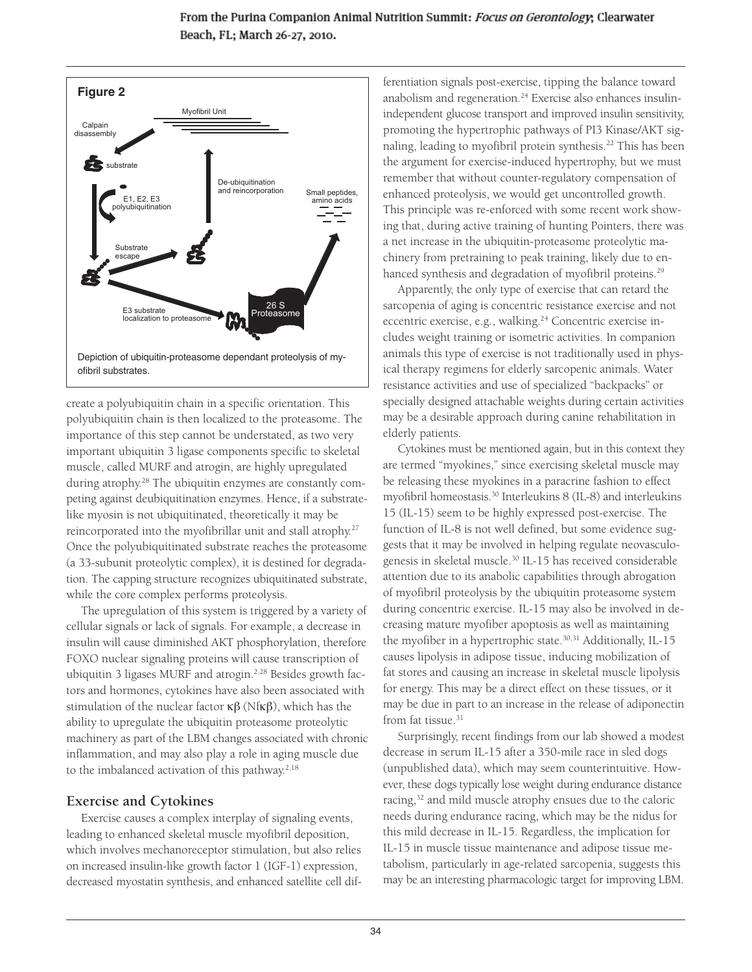From the Purina Companion Animal Nutrition Summit: Focus on Gerontology; Clearwater Beach, FL; March 26-27, 2010.



create a polyubiquitin chain in a specific orientation. This polyubiquitin chain is then localized to the proteasome. The importance of this step cannot be understated, as two very important ubiquitin 3 ligase components specific to skeletal muscle, called MURF and atrogin, are highly upregulated during atrophy.28 The ubiquitin enzymes are constantly competing against deubiquitination enzymes. Hence, if a substratelike myosin is not ubiquitinated, theoretically it may be reincorporated into the myofibrillar unit and stall atrophy.27 Once the polyubiquitinated substrate reaches the proteasome (a 33-subunit proteolytic complex), it is destined for degradation. The capping structure recognizes ubiquitinated substrate, while the core complex performs proteolysis.

The upregulation of this system is triggered by a variety of cellular signals or lack of signals. For example, a decrease in insulin will cause diminished AKT phosphorylation, therefore FOXO nuclear signaling proteins will cause transcription of ubiquitin 3 ligases MURF and atrogin.<sup>2,28</sup> Besides growth factors and hormones, cytokines have also been associated with stimulation of the nuclear factor  $\kappa\beta$  (Nf $\kappa\beta$ ), which has the ability to upregulate the ubiquitin proteasome proteolytic machinery as part of the LBM changes associated with chronic inflammation, and may also play a role in aging muscle due to the imbalanced activation of this pathway. $2,18$ 

### **Exercise and Cytokines**

Exercise causes a complex interplay of signaling events, leading to enhanced skeletal muscle myofibril deposition, which involves mechanoreceptor stimulation, but also relies on increased insulin-like growth factor 1 (IGF-1) expression, decreased myostatin synthesis, and enhanced satellite cell dif-

ferentiation signals post-exercise, tipping the balance toward anabolism and regeneration.<sup>24</sup> Exercise also enhances insulinindependent glucose transport and improved insulin sensitivity, promoting the hypertrophic pathways of PI3 Kinase/AKT signaling, leading to myofibril protein synthesis.<sup>22</sup> This has been the argument for exercise-induced hypertrophy, but we must remember that without counter-regulatory compensation of enhanced proteolysis, we would get uncontrolled growth. This principle was re-enforced with some recent work showing that, during active training of hunting Pointers, there was a net increase in the ubiquitin-proteasome proteolytic machinery from pretraining to peak training, likely due to enhanced synthesis and degradation of myofibril proteins.<sup>29</sup>

Apparently, the only type of exercise that can retard the sarcopenia of aging is concentric resistance exercise and not eccentric exercise, e.g., walking.<sup>24</sup> Concentric exercise includes weight training or isometric activities. In companion animals this type of exercise is not traditionally used in physical therapy regimens for elderly sarcopenic animals. Water resistance activities and use of specialized "backpacks" or specially designed attachable weights during certain activities may be a desirable approach during canine rehabilitation in elderly patients.

Cytokines must be mentioned again, but in this context they are termed "myokines," since exercising skeletal muscle may be releasing these myokines in a paracrine fashion to effect myofibril homeostasis.<sup>30</sup> Interleukins 8 (IL-8) and interleukins 15 (IL-15) seem to be highly expressed post-exercise. The function of IL-8 is not well defined, but some evidence suggests that it may be involved in helping regulate neovasculogenesis in skeletal muscle.<sup>30</sup> IL-15 has received considerable attention due to its anabolic capabilities through abrogation of myofibril proteolysis by the ubiquitin proteasome system during concentric exercise. IL-15 may also be involved in decreasing mature myofiber apoptosis as well as maintaining the myofiber in a hypertrophic state.<sup>30,31</sup> Additionally, IL-15 causes lipolysis in adipose tissue, inducing mobilization of fat stores and causing an increase in skeletal muscle lipolysis for energy. This may be a direct effect on these tissues, or it may be due in part to an increase in the release of adiponectin from fat tissue.<sup>31</sup>

Surprisingly, recent findings from our lab showed a modest decrease in serum IL-15 after a 350-mile race in sled dogs (unpublished data), which may seem counterintuitive. However, these dogs typically lose weight during endurance distance racing,<sup>32</sup> and mild muscle atrophy ensues due to the caloric needs during endurance racing, which may be the nidus for this mild decrease in IL-15. Regardless, the implication for IL-15 in muscle tissue maintenance and adipose tissue metabolism, particularly in age-related sarcopenia, suggests this may be an interesting pharmacologic target for improving LBM.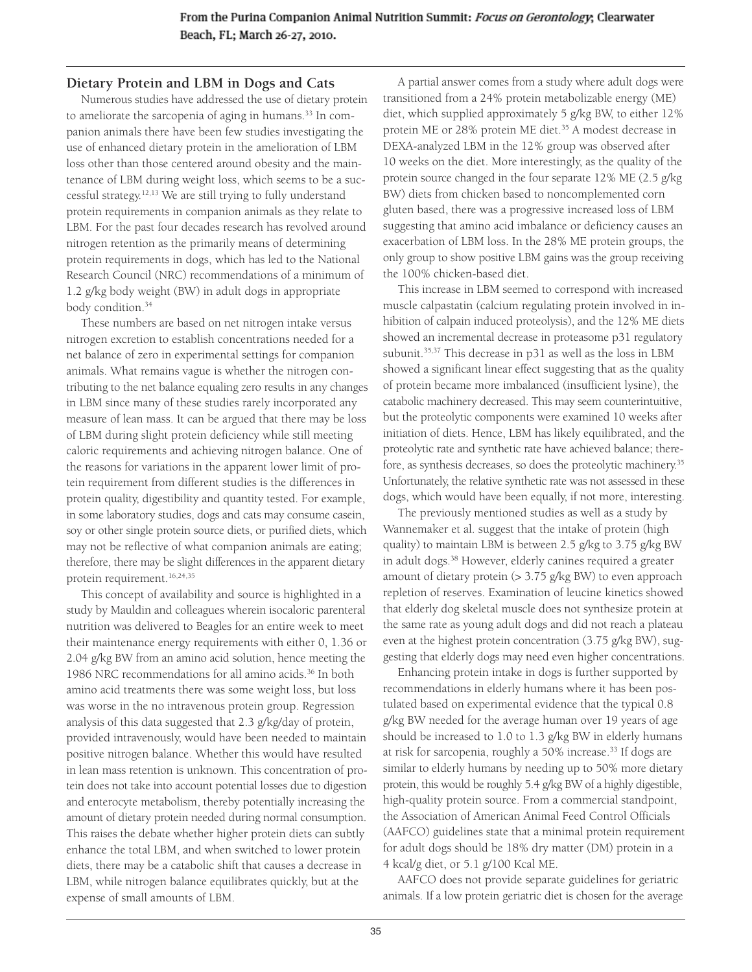### **Dietary Protein and LBM in Dogs and Cats**

Numerous studies have addressed the use of dietary protein to ameliorate the sarcopenia of aging in humans.<sup>33</sup> In companion animals there have been few studies investigating the use of enhanced dietary protein in the amelioration of LBM loss other than those centered around obesity and the maintenance of LBM during weight loss, which seems to be a successful strategy.12,13 We are still trying to fully understand protein requirements in companion animals as they relate to LBM. For the past four decades research has revolved around nitrogen retention as the primarily means of determining protein requirements in dogs, which has led to the National Research Council (NRC) recommendations of a minimum of 1.2 g/kg body weight (BW) in adult dogs in appropriate body condition.<sup>34</sup>

These numbers are based on net nitrogen intake versus nitrogen excretion to establish concentrations needed for a net balance of zero in experimental settings for companion animals. What remains vague is whether the nitrogen contributing to the net balance equaling zero results in any changes in LBM since many of these studies rarely incorporated any measure of lean mass. It can be argued that there may be loss of LBM during slight protein deficiency while still meeting caloric requirements and achieving nitrogen balance. One of the reasons for variations in the apparent lower limit of protein requirement from different studies is the differences in protein quality, digestibility and quantity tested. For example, in some laboratory studies, dogs and cats may consume casein, soy or other single protein source diets, or purified diets, which may not be reflective of what companion animals are eating; therefore, there may be slight differences in the apparent dietary protein requirement.<sup>16,24,35</sup>

This concept of availability and source is highlighted in a study by Mauldin and colleagues wherein isocaloric parenteral nutrition was delivered to Beagles for an entire week to meet their maintenance energy requirements with either 0, 1.36 or 2.04 g/kg BW from an amino acid solution, hence meeting the 1986 NRC recommendations for all amino acids.<sup>36</sup> In both amino acid treatments there was some weight loss, but loss was worse in the no intravenous protein group. Regression analysis of this data suggested that 2.3 g/kg/day of protein, provided intravenously, would have been needed to maintain positive nitrogen balance. Whether this would have resulted in lean mass retention is unknown. This concentration of protein does not take into account potential losses due to digestion and enterocyte metabolism, thereby potentially increasing the amount of dietary protein needed during normal consumption. This raises the debate whether higher protein diets can subtly enhance the total LBM, and when switched to lower protein diets, there may be a catabolic shift that causes a decrease in LBM, while nitrogen balance equilibrates quickly, but at the expense of small amounts of LBM.

A partial answer comes from a study where adult dogs were transitioned from a 24% protein metabolizable energy (ME) diet, which supplied approximately 5 g/kg BW, to either 12% protein ME or 28% protein ME diet.<sup>35</sup> A modest decrease in DEXA-analyzed LBM in the 12% group was observed after 10 weeks on the diet. More interestingly, as the quality of the protein source changed in the four separate 12% ME (2.5 g/kg BW) diets from chicken based to noncomplemented corn gluten based, there was a progressive increased loss of LBM suggesting that amino acid imbalance or deficiency causes an exacerbation of LBM loss. In the 28% ME protein groups, the only group to show positive LBM gains was the group receiving the 100% chicken-based diet.

This increase in LBM seemed to correspond with increased muscle calpastatin (calcium regulating protein involved in inhibition of calpain induced proteolysis), and the 12% ME diets showed an incremental decrease in proteasome p31 regulatory subunit.<sup>35,37</sup> This decrease in p31 as well as the loss in LBM showed a significant linear effect suggesting that as the quality of protein became more imbalanced (insufficient lysine), the catabolic machinery decreased. This may seem counterintuitive, but the proteolytic components were examined 10 weeks after initiation of diets. Hence, LBM has likely equilibrated, and the proteolytic rate and synthetic rate have achieved balance; therefore, as synthesis decreases, so does the proteolytic machinery.<sup>35</sup> Unfortunately, the relative synthetic rate was not assessed in these dogs, which would have been equally, if not more, interesting.

The previously mentioned studies as well as a study by Wannemaker et al. suggest that the intake of protein (high quality) to maintain LBM is between 2.5 g/kg to 3.75 g/kg BW in adult dogs.38 However, elderly canines required a greater amount of dietary protein (> 3.75 g/kg BW) to even approach repletion of reserves. Examination of leucine kinetics showed that elderly dog skeletal muscle does not synthesize protein at the same rate as young adult dogs and did not reach a plateau even at the highest protein concentration (3.75 g/kg BW), suggesting that elderly dogs may need even higher concentrations.

Enhancing protein intake in dogs is further supported by recommendations in elderly humans where it has been postulated based on experimental evidence that the typical 0.8 g/kg BW needed for the average human over 19 years of age should be increased to 1.0 to 1.3 g/kg BW in elderly humans at risk for sarcopenia, roughly a 50% increase.<sup>33</sup> If dogs are similar to elderly humans by needing up to 50% more dietary protein, this would be roughly 5.4 g/kg BW of a highly digestible, high-quality protein source. From a commercial standpoint, the Association of American Animal Feed Control Officials (AAFCO) guidelines state that a minimal protein requirement for adult dogs should be 18% dry matter (DM) protein in a 4 kcal/g diet, or 5.1 g/100 Kcal ME.

AAFCO does not provide separate guidelines for geriatric animals. If a low protein geriatric diet is chosen for the average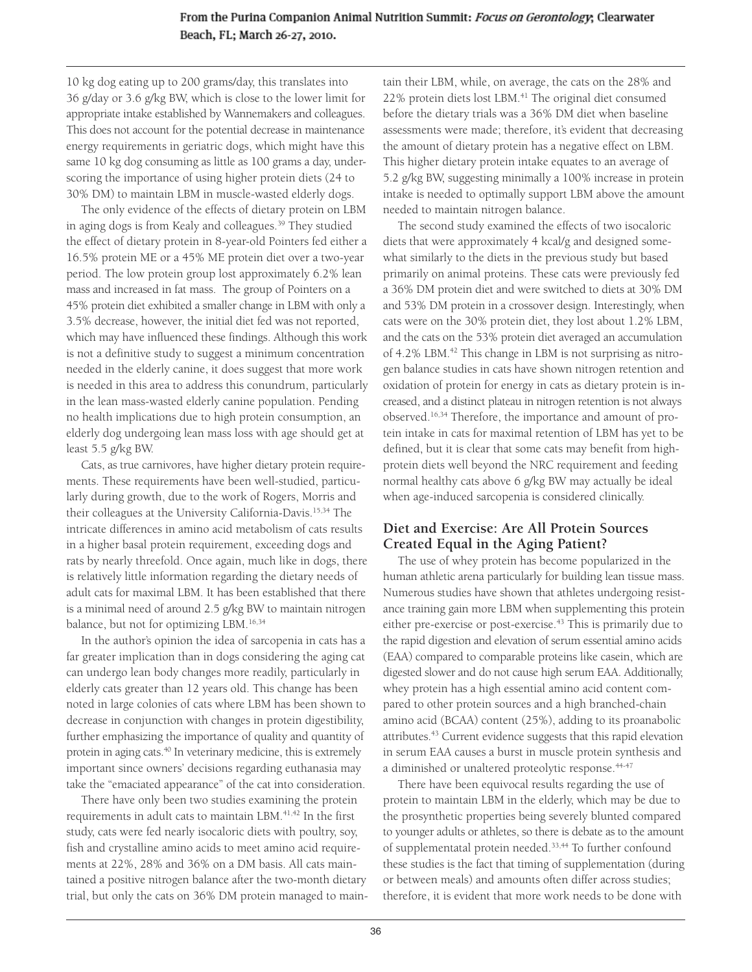10 kg dog eating up to 200 grams/day, this translates into 36 g/day or 3.6 g/kg BW, which is close to the lower limit for appropriate intake established by Wannemakers and colleagues. This does not account for the potential decrease in maintenance energy requirements in geriatric dogs, which might have this same 10 kg dog consuming as little as 100 grams a day, underscoring the importance of using higher protein diets (24 to 30% DM) to maintain LBM in muscle-wasted elderly dogs.

The only evidence of the effects of dietary protein on LBM in aging dogs is from Kealy and colleagues.39 They studied the effect of dietary protein in 8-year-old Pointers fed either a 16.5% protein ME or a 45% ME protein diet over a two-year period. The low protein group lost approximately 6.2% lean mass and increased in fat mass. The group of Pointers on a 45% protein diet exhibited a smaller change in LBM with only a 3.5% decrease, however, the initial diet fed was not reported, which may have influenced these findings. Although this work is not a definitive study to suggest a minimum concentration needed in the elderly canine, it does suggest that more work is needed in this area to address this conundrum, particularly in the lean mass-wasted elderly canine population. Pending no health implications due to high protein consumption, an elderly dog undergoing lean mass loss with age should get at least 5.5 g/kg BW.

Cats, as true carnivores, have higher dietary protein requirements. These requirements have been well-studied, particularly during growth, due to the work of Rogers, Morris and their colleagues at the University California-Davis.15,34 The intricate differences in amino acid metabolism of cats results in a higher basal protein requirement, exceeding dogs and rats by nearly threefold. Once again, much like in dogs, there is relatively little information regarding the dietary needs of adult cats for maximal LBM. It has been established that there is a minimal need of around 2.5 g/kg BW to maintain nitrogen balance, but not for optimizing LBM.<sup>16,34</sup>

In the author's opinion the idea of sarcopenia in cats has a far greater implication than in dogs considering the aging cat can undergo lean body changes more readily, particularly in elderly cats greater than 12 years old. This change has been noted in large colonies of cats where LBM has been shown to decrease in conjunction with changes in protein digestibility, further emphasizing the importance of quality and quantity of protein in aging cats.<sup>40</sup> In veterinary medicine, this is extremely important since owners' decisions regarding euthanasia may take the "emaciated appearance" of the cat into consideration.

There have only been two studies examining the protein requirements in adult cats to maintain LBM.<sup>41,42</sup> In the first study, cats were fed nearly isocaloric diets with poultry, soy, fish and crystalline amino acids to meet amino acid requirements at 22%, 28% and 36% on a DM basis. All cats maintained a positive nitrogen balance after the two-month dietary trial, but only the cats on 36% DM protein managed to maintain their LBM, while, on average, the cats on the 28% and 22% protein diets lost LBM.<sup>41</sup> The original diet consumed before the dietary trials was a 36% DM diet when baseline assessments were made; therefore, it's evident that decreasing the amount of dietary protein has a negative effect on LBM. This higher dietary protein intake equates to an average of 5.2 g/kg BW, suggesting minimally a 100% increase in protein intake is needed to optimally support LBM above the amount needed to maintain nitrogen balance.

The second study examined the effects of two isocaloric diets that were approximately 4 kcal/g and designed somewhat similarly to the diets in the previous study but based primarily on animal proteins. These cats were previously fed a 36% DM protein diet and were switched to diets at 30% DM and 53% DM protein in a crossover design. Interestingly, when cats were on the 30% protein diet, they lost about 1.2% LBM, and the cats on the 53% protein diet averaged an accumulation of 4.2% LBM.<sup>42</sup> This change in LBM is not surprising as nitrogen balance studies in cats have shown nitrogen retention and oxidation of protein for energy in cats as dietary protein is increased, and a distinct plateau in nitrogen retention is not always observed.16,34 Therefore, the importance and amount of protein intake in cats for maximal retention of LBM has yet to be defined, but it is clear that some cats may benefit from highprotein diets well beyond the NRC requirement and feeding normal healthy cats above 6 g/kg BW may actually be ideal when age-induced sarcopenia is considered clinically.

#### **Diet and Exercise: Are All Protein Sources Created Equal in the Aging Patient?**

The use of whey protein has become popularized in the human athletic arena particularly for building lean tissue mass. Numerous studies have shown that athletes undergoing resistance training gain more LBM when supplementing this protein either pre-exercise or post-exercise.<sup>43</sup> This is primarily due to the rapid digestion and elevation of serum essential amino acids (EAA) compared to comparable proteins like casein, which are digested slower and do not cause high serum EAA. Additionally, whey protein has a high essential amino acid content compared to other protein sources and a high branched-chain amino acid (BCAA) content (25%), adding to its proanabolic attributes.43 Current evidence suggests that this rapid elevation in serum EAA causes a burst in muscle protein synthesis and a diminished or unaltered proteolytic response.<sup>44-47</sup>

There have been equivocal results regarding the use of protein to maintain LBM in the elderly, which may be due to the prosynthetic properties being severely blunted compared to younger adults or athletes, so there is debate as to the amount of supplementatal protein needed.<sup>33,44</sup> To further confound these studies is the fact that timing of supplementation (during or between meals) and amounts often differ across studies; therefore, it is evident that more work needs to be done with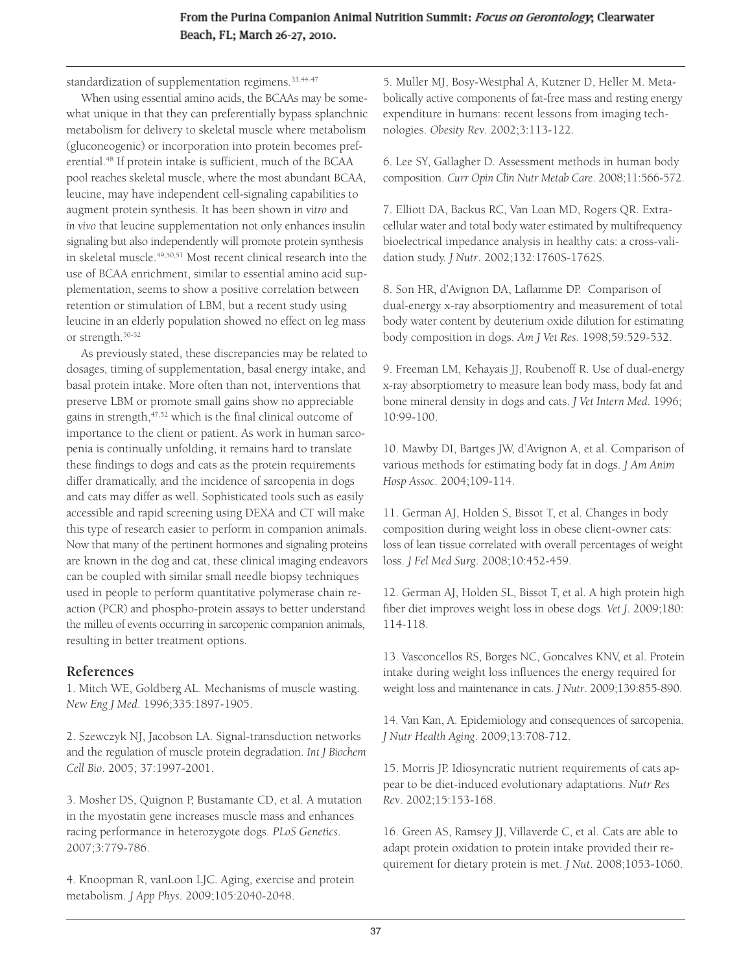#### From the Purina Companion Animal Nutrition Summit: Focus on Gerontology; Clearwater Beach, FL; March 26-27, 2010.

standardization of supplementation regimens.<sup>33,44-47</sup>

When using essential amino acids, the BCAAs may be somewhat unique in that they can preferentially bypass splanchnic metabolism for delivery to skeletal muscle where metabolism (gluconeogenic) or incorporation into protein becomes preferential.<sup>48</sup> If protein intake is sufficient, much of the BCAA pool reaches skeletal muscle, where the most abundant BCAA, leucine, may have independent cell-signaling capabilities to augment protein synthesis. It has been shown *in vitro* and *in vivo* that leucine supplementation not only enhances insulin signaling but also independently will promote protein synthesis in skeletal muscle.49,50,51 Most recent clinical research into the use of BCAA enrichment, similar to essential amino acid supplementation, seems to show a positive correlation between retention or stimulation of LBM, but a recent study using leucine in an elderly population showed no effect on leg mass or strength.50-52

As previously stated, these discrepancies may be related to dosages, timing of supplementation, basal energy intake, and basal protein intake. More often than not, interventions that preserve LBM or promote small gains show no appreciable gains in strength,47,52 which is the final clinical outcome of importance to the client or patient. As work in human sarcopenia is continually unfolding, it remains hard to translate these findings to dogs and cats as the protein requirements differ dramatically, and the incidence of sarcopenia in dogs and cats may differ as well. Sophisticated tools such as easily accessible and rapid screening using DEXA and CT will make this type of research easier to perform in companion animals. Now that many of the pertinent hormones and signaling proteins are known in the dog and cat, these clinical imaging endeavors can be coupled with similar small needle biopsy techniques used in people to perform quantitative polymerase chain reaction (PCR) and phospho-protein assays to better understand the milleu of events occurring in sarcopenic companion animals, resulting in better treatment options.

#### **References**

1. Mitch WE, Goldberg AL. Mechanisms of muscle wasting. *New Eng J Med*. 1996;335:1897-1905.

2. Szewczyk NJ, Jacobson LA. Signal-transduction networks and the regulation of muscle protein degradation. *Int J Biochem Cell Bio*. 2005; 37:1997-2001.

3. Mosher DS, Quignon P, Bustamante CD, et al. A mutation in the myostatin gene increases muscle mass and enhances racing performance in heterozygote dogs. *PLoS Genetics*. 2007;3:779-786.

4. Knoopman R, vanLoon LJC. Aging, exercise and protein metabolism. *J App Phys*. 2009;105:2040-2048.

5. Muller MJ, Bosy-Westphal A, Kutzner D, Heller M. Metabolically active components of fat-free mass and resting energy expenditure in humans: recent lessons from imaging technologies. *Obesity Rev*. 2002;3:113-122.

6. Lee SY, Gallagher D. Assessment methods in human body composition. *Curr Opin Clin Nutr Metab Care*. 2008;11:566-572.

7. Elliott DA, Backus RC, Van Loan MD, Rogers QR. Extracellular water and total body water estimated by multifrequency bioelectrical impedance analysis in healthy cats: a cross-validation study. *J Nutr*. 2002;132:1760S-1762S.

8. Son HR, d'Avignon DA, Laflamme DP. Comparison of dual-energy x-ray absorptiomentry and measurement of total body water content by deuterium oxide dilution for estimating body composition in dogs. *Am J Vet Res*. 1998;59:529-532.

9. Freeman LM, Kehayais JJ, Roubenoff R. Use of dual-energy x-ray absorptiometry to measure lean body mass, body fat and bone mineral density in dogs and cats. *J Vet Intern Med*. 1996; 10:99-100.

10. Mawby DI, Bartges JW, d'Avignon A, et al. Comparison of various methods for estimating body fat in dogs. *J Am Anim Hosp Assoc*. 2004;109-114.

11. German AJ, Holden S, Bissot T, et al. Changes in body composition during weight loss in obese client-owner cats: loss of lean tissue correlated with overall percentages of weight loss. *J Fel Med Surg*. 2008;10:452-459.

12. German AJ, Holden SL, Bissot T, et al. A high protein high fiber diet improves weight loss in obese dogs. *Vet J*. 2009;180: 114-118.

13. Vasconcellos RS, Borges NC, Goncalves KNV, et al. Protein intake during weight loss influences the energy required for weight loss and maintenance in cats. *J Nutr*. 2009;139:855-890.

14. Van Kan, A. Epidemiology and consequences of sarcopenia. *J Nutr Health Aging*. 2009;13:708-712.

15. Morris JP. Idiosyncratic nutrient requirements of cats appear to be diet-induced evolutionary adaptations. *Nutr Res Rev*. 2002;15:153-168.

16. Green AS, Ramsey JJ, Villaverde C, et al. Cats are able to adapt protein oxidation to protein intake provided their requirement for dietary protein is met. *J Nut*. 2008;1053-1060.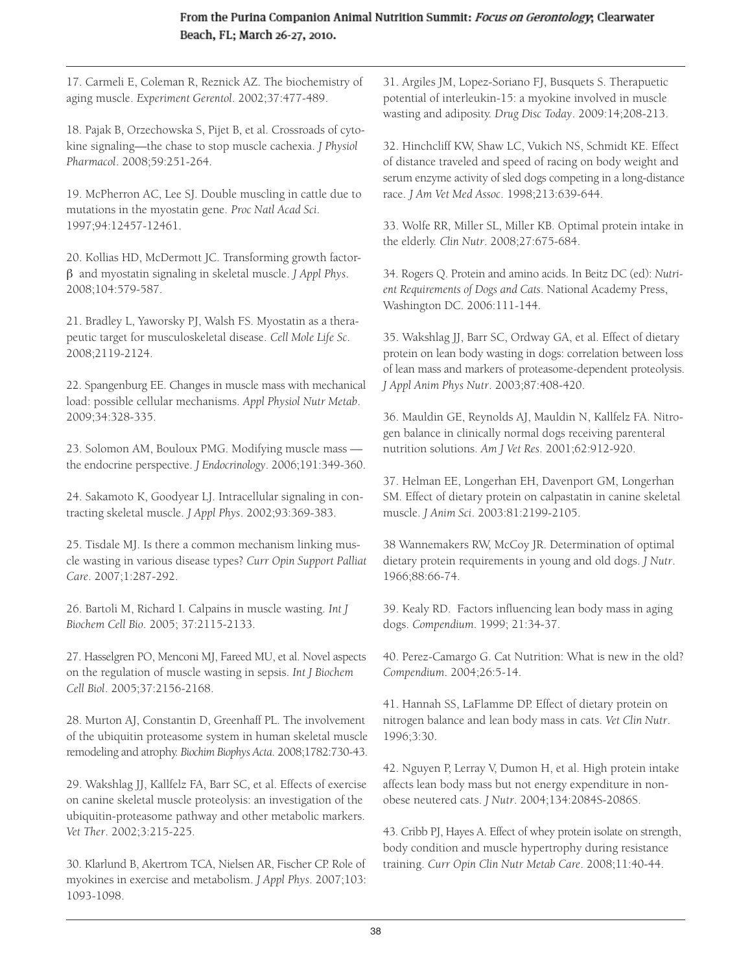17. Carmeli E, Coleman R, Reznick AZ. The biochemistry of aging muscle. *Experiment Gerentol*. 2002;37:477-489.

18. Pajak B, Orzechowska S, Pijet B, et al. Crossroads of cytokine signaling—the chase to stop muscle cachexia. *J Physiol Pharmacol*. 2008;59:251-264.

19. McPherron AC, Lee SJ. Double muscling in cattle due to mutations in the myostatin gene. *Proc Natl Acad Sci*. 1997;94:12457-12461.

20. Kollias HD, McDermott JC. Transforming growth factorβ and myostatin signaling in skeletal muscle. *J Appl Phys*. 2008;104:579-587.

21. Bradley L, Yaworsky PJ, Walsh FS. Myostatin as a therapeutic target for musculoskeletal disease. *Cell Mole Life Sc*. 2008;2119-2124.

22. Spangenburg EE. Changes in muscle mass with mechanical load: possible cellular mechanisms. *Appl Physiol Nutr Metab*. 2009;34:328-335.

23. Solomon AM, Bouloux PMG. Modifying muscle mass the endocrine perspective. *J Endocrinology*. 2006;191:349-360.

24. Sakamoto K, Goodyear LJ. Intracellular signaling in contracting skeletal muscle. *J Appl Phys*. 2002;93:369-383.

25. Tisdale MJ. Is there a common mechanism linking muscle wasting in various disease types? *Curr Opin Support Palliat Care*. 2007;1:287-292.

26. Bartoli M, Richard I. Calpains in muscle wasting. *Int J Biochem Cell Bio*. 2005; 37:2115-2133.

27. Hasselgren PO, Menconi MJ, Fareed MU, et al. Novel aspects on the regulation of muscle wasting in sepsis. *Int J Biochem Cell Biol*. 2005;37:2156-2168.

28. Murton AJ, Constantin D, Greenhaff PL. The involvement of the ubiquitin proteasome system in human skeletal muscle remodeling and atrophy. *Biochim Biophys Acta*. 2008;1782:730-43.

29. Wakshlag JJ, Kallfelz FA, Barr SC, et al. Effects of exercise on canine skeletal muscle proteolysis: an investigation of the ubiquitin-proteasome pathway and other metabolic markers. *Vet Ther*. 2002;3:215-225.

30. Klarlund B, Akertrom TCA, Nielsen AR, Fischer CP. Role of myokines in exercise and metabolism. *J Appl Phys*. 2007;103: 1093-1098.

31. Argiles JM, Lopez-Soriano FJ, Busquets S. Therapuetic potential of interleukin-15: a myokine involved in muscle wasting and adiposity. *Drug Disc Today*. 2009:14;208-213.

32. Hinchcliff KW, Shaw LC, Vukich NS, Schmidt KE. Effect of distance traveled and speed of racing on body weight and serum enzyme activity of sled dogs competing in a long-distance race. *J Am Vet Med Assoc*. 1998;213:639-644.

33. Wolfe RR, Miller SL, Miller KB. Optimal protein intake in the elderly. *Clin Nutr*. 2008;27:675-684.

34. Rogers Q. Protein and amino acids. In Beitz DC (ed): *Nutrient Requirements of Dogs and Cats*. National Academy Press, Washington DC. 2006:111-144.

35. Wakshlag JJ, Barr SC, Ordway GA, et al. Effect of dietary protein on lean body wasting in dogs: correlation between loss of lean mass and markers of proteasome-dependent proteolysis. *J Appl Anim Phys Nutr*. 2003;87:408-420.

36. Mauldin GE, Reynolds AJ, Mauldin N, Kallfelz FA. Nitrogen balance in clinically normal dogs receiving parenteral nutrition solutions. *Am J Vet Res*. 2001;62:912-920.

37. Helman EE, Longerhan EH, Davenport GM, Longerhan SM. Effect of dietary protein on calpastatin in canine skeletal muscle. *J Anim Sci*. 2003:81:2199-2105.

38 Wannemakers RW, McCoy JR. Determination of optimal dietary protein requirements in young and old dogs. *J Nutr*. 1966;88:66-74.

39. Kealy RD. Factors influencing lean body mass in aging dogs. *Compendium*. 1999; 21:34-37.

40. Perez-Camargo G. Cat Nutrition: What is new in the old? *Compendium*. 2004;26:5-14.

41. Hannah SS, LaFlamme DP. Effect of dietary protein on nitrogen balance and lean body mass in cats. *Vet Clin Nutr*. 1996;3:30.

42. Nguyen P, Lerray V, Dumon H, et al. High protein intake affects lean body mass but not energy expenditure in nonobese neutered cats. *J Nutr*. 2004;134:2084S-2086S.

43. Cribb PJ, Hayes A. Effect of whey protein isolate on strength, body condition and muscle hypertrophy during resistance training. *Curr Opin Clin Nutr Metab Care*. 2008;11:40-44.